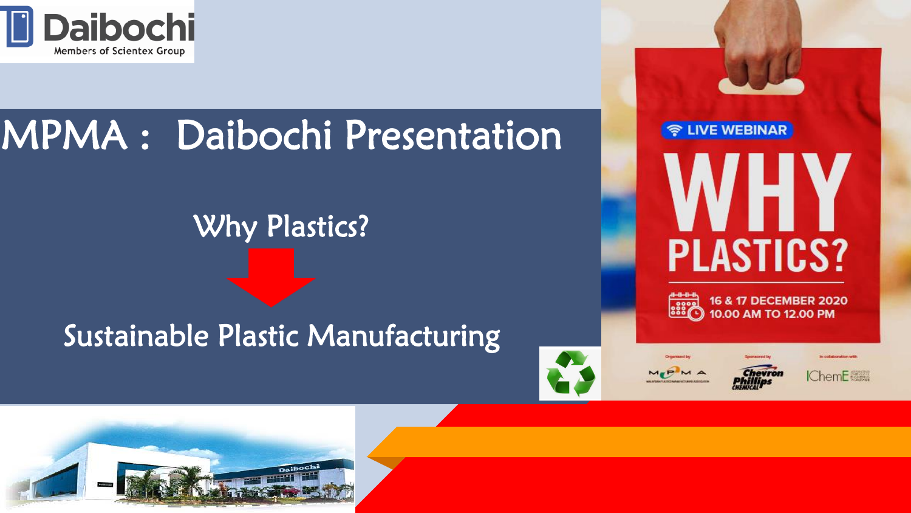

# MPMA : Daibochi Presentation

## Why Plastics?

### Sustainable Plastic Manufacturing







н

16 & 17 DECEMBER 2020 10.00 AM TO 12.00 PM

**PLASTICS?** 

**우 LIVE WEBINAR** 



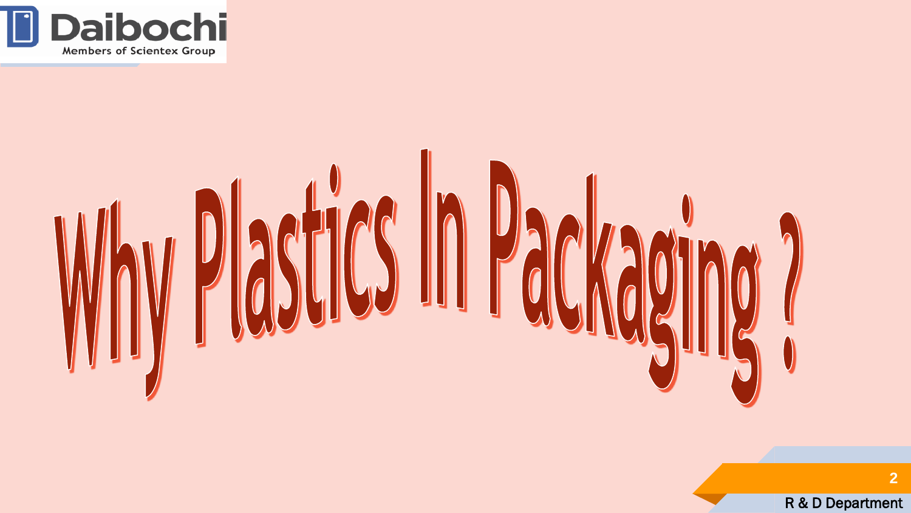



R & D Department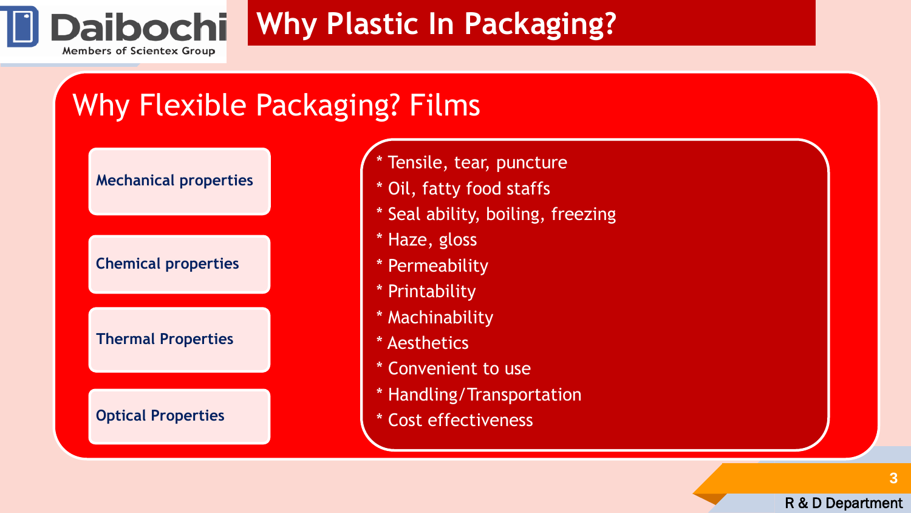

## **Why Plastic In Packaging?**

# Why Flexible Packaging? Films

**Mechanical properties** 

**Chemical properties**

**Thermal Properties**

**Optical Properties** 

- \* Tensile, tear, puncture
- \* Oil, fatty food staffs
- \* Seal ability, boiling, freezing
- \* Haze, gloss
- \* Permeability
- \* Printability
- \* Machinability
- \* Aesthetics
- \* Convenient to use
- \* Handling/Transportation
- \* Cost effectiveness

**3**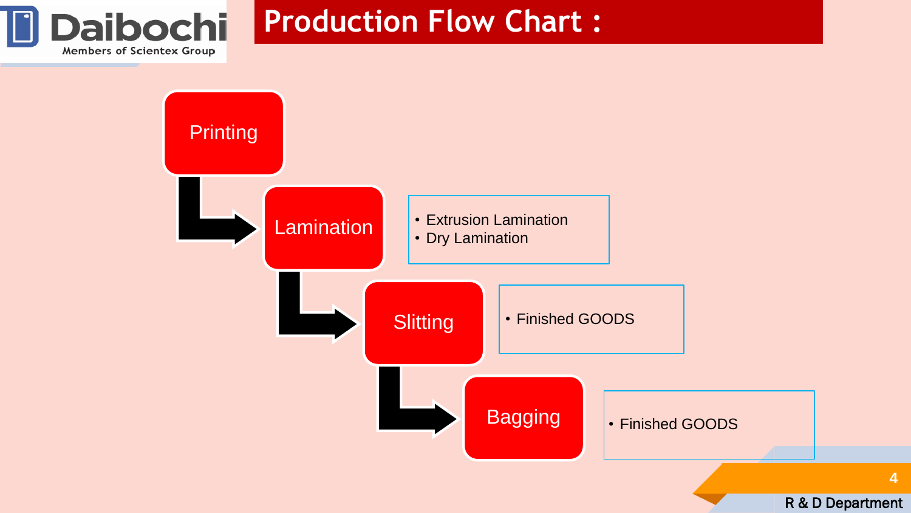

### **Production Flow Chart :**

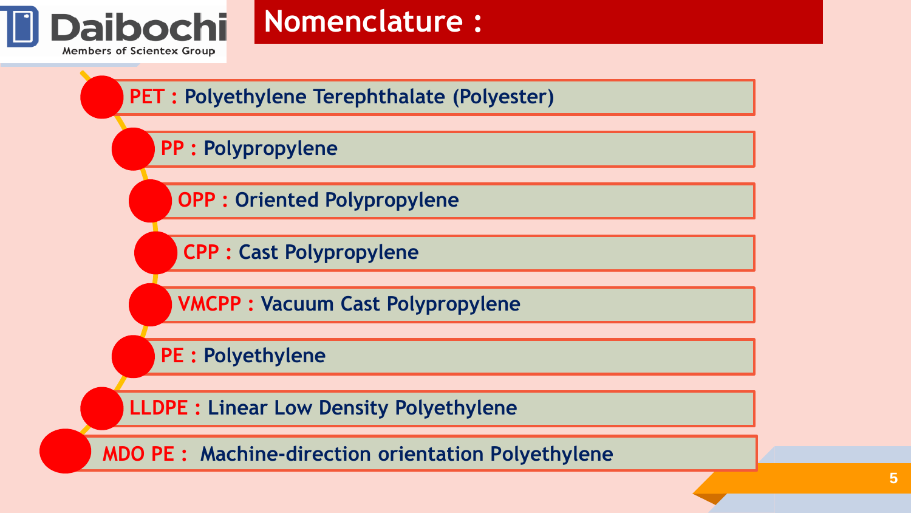

### **Nomenclature :**

**PET : Polyethylene Terephthalate (Polyester)**

#### **PP : Polypropylene**

**OPP : Oriented Polypropylene**

**CPP : Cast Polypropylene**

**VMCPP : Vacuum Cast Polypropylene**

**PE : Polyethylene**

**LLDPE : Linear Low Density Polyethylene**

**MDO PE : Machine-direction orientation Polyethylene**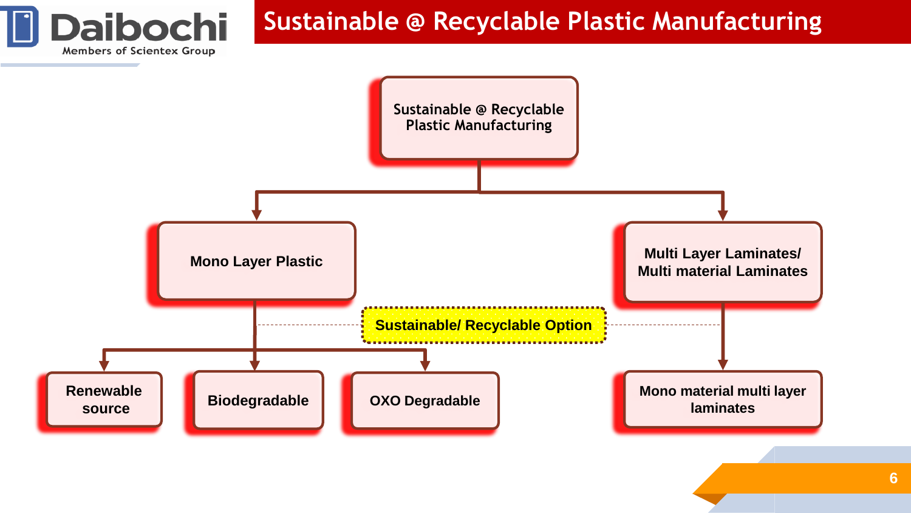

### **Sustainable @ Recyclable Plastic Manufacturing**

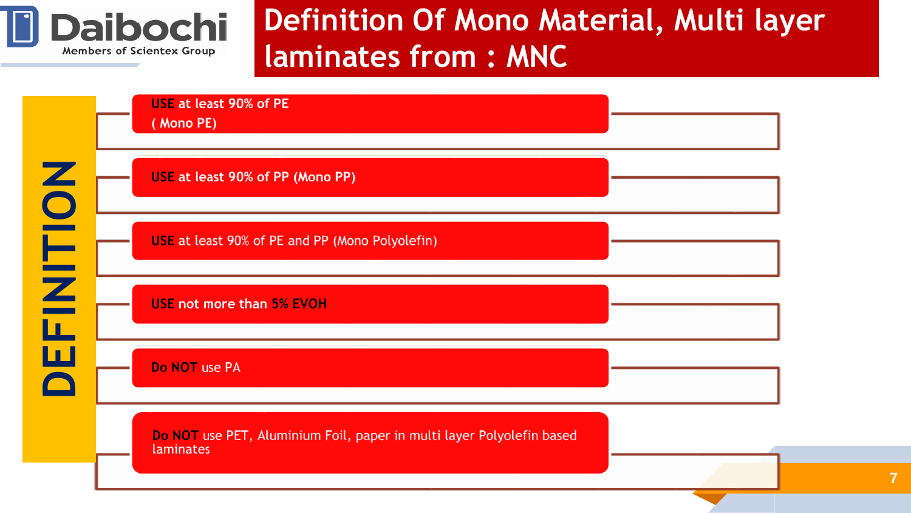

## **Definition Of Mono Material, Multi layer laminates from : MNC**

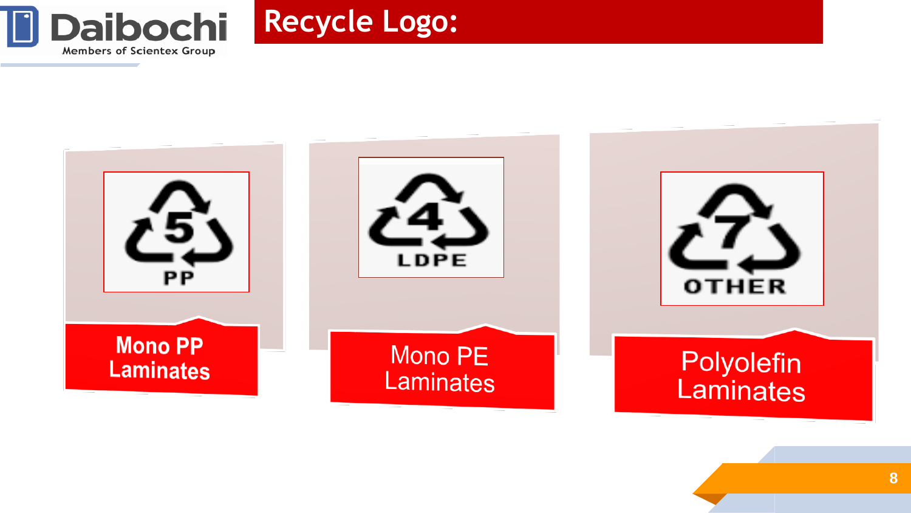



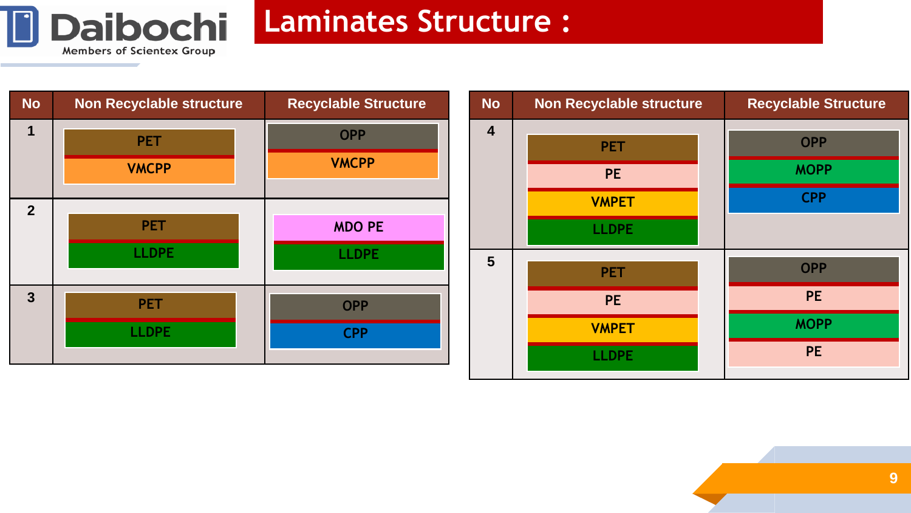

### **Laminates Structure :**

| <b>No</b>      | <b>Non Recyclable structure</b> | <b>Recyclable Structure</b> | <b>No</b> | <b>Non Recyclable structure</b> | <b>Recyclable Structure</b> |
|----------------|---------------------------------|-----------------------------|-----------|---------------------------------|-----------------------------|
|                | <b>PET</b>                      | <b>OPP</b>                  | 4         | <b>PET</b>                      | <b>OPP</b>                  |
|                | <b>VMCPP</b>                    | <b>VMCPP</b>                |           | <b>PE</b>                       | <b>MOPP</b>                 |
| $\overline{2}$ |                                 |                             |           | <b>VMPET</b>                    | <b>CPP</b>                  |
|                | <b>PET</b>                      | <b>MDO PE</b>               |           | <b>LLDPE</b>                    |                             |
|                | <b>LLDPE</b>                    | <b>LLDPE</b>                | 5         | <b>PET</b>                      | <b>OPP</b>                  |
| $\mathbf{3}$   | <b>PET</b>                      | <b>OPP</b>                  |           | <b>PE</b>                       | <b>PE</b>                   |
|                | <b>LLDPE</b>                    | <b>CPP</b>                  |           | <b>VMPET</b>                    | <b>MOPP</b>                 |
|                |                                 |                             |           | <b>LLDPE</b>                    | <b>PE</b>                   |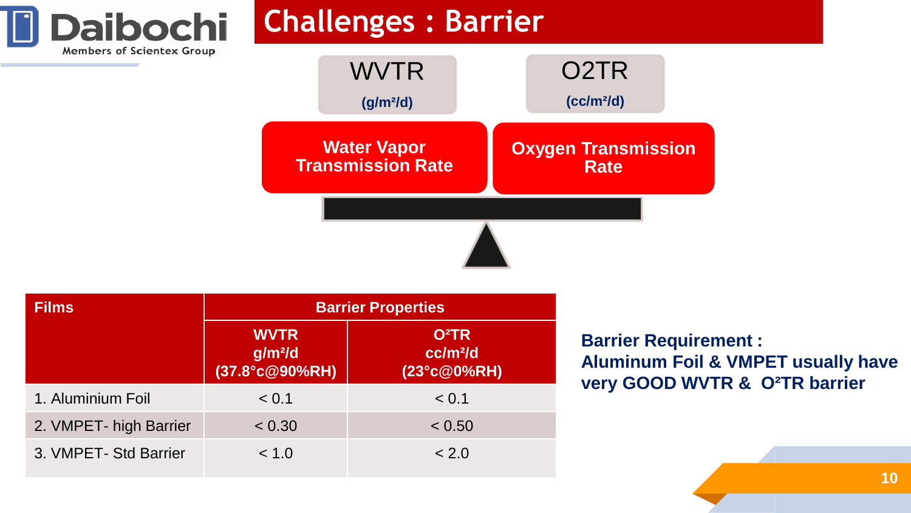



| <b>Films</b>           | <b>Barrier Properties</b>                              |                                                                 |  |  |  |
|------------------------|--------------------------------------------------------|-----------------------------------------------------------------|--|--|--|
|                        | <b>WVTR</b><br>$g/m$ <sup>2</sup> /d<br>(37.8°c@90%RH) | <b>O</b> <sup>2</sup> TR<br>cc/m <sup>2</sup> /d<br>(23°c@0%RH) |  |  |  |
| 1. Aluminium Foil      | < 0.1                                                  | < 0.1                                                           |  |  |  |
| 2. VMPET- high Barrier | < 0.30                                                 | < 0.50                                                          |  |  |  |
| 3. VMPET- Std Barrier  | < 1.0                                                  | < 2.0                                                           |  |  |  |

**Daibochi** 

Members of Scientex Group

**Barrier Requirement : Aluminum Foil & VMPET usually have very GOOD WVTR & O²TR barrier**

**10**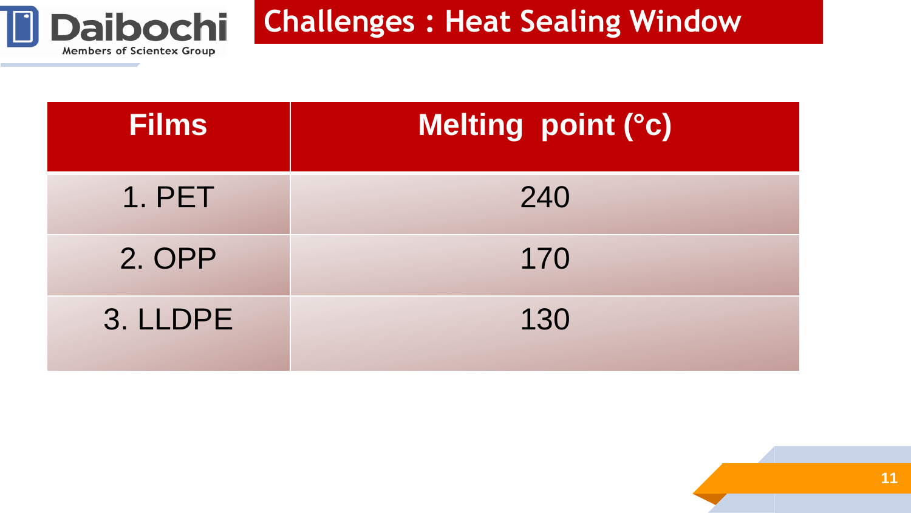

### **Challenges : Heat Sealing Window**

| <b>Films</b> | Melting point (°c) |
|--------------|--------------------|
| 1. PET       | 240                |
| 2. OPP       | 170                |
| 3. LLDPE     | 130                |